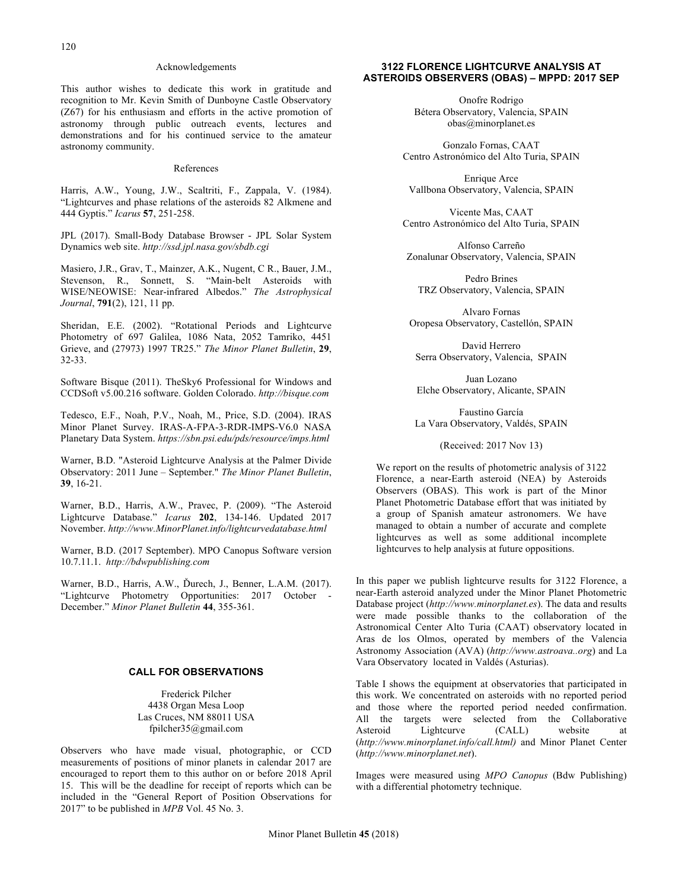# Acknowledgements

This author wishes to dedicate this work in gratitude and recognition to Mr. Kevin Smith of Dunboyne Castle Observatory (Z67) for his enthusiasm and efforts in the active promotion of astronomy through public outreach events, lectures and demonstrations and for his continued service to the amateur astronomy community.

### References

Harris, A.W., Young, J.W., Scaltriti, F., Zappala, V. (1984). "Lightcurves and phase relations of the asteroids 82 Alkmene and 444 Gyptis." *Icarus* **57**, 251-258.

JPL (2017). Small-Body Database Browser - JPL Solar System Dynamics web site. *http://ssd.jpl.nasa.gov/sbdb.cgi* 

Masiero, J.R., Grav, T., Mainzer, A.K., Nugent, C R., Bauer, J.M., Stevenson, R., Sonnett, S. "Main-belt Asteroids with WISE/NEOWISE: Near-infrared Albedos." *The Astrophysical Journal*, **791**(2), 121, 11 pp.

Sheridan, E.E. (2002). "Rotational Periods and Lightcurve Photometry of 697 Galilea, 1086 Nata, 2052 Tamriko, 4451 Grieve, and (27973) 1997 TR25." *The Minor Planet Bulletin*, **29**, 32-33.

Software Bisque (2011). TheSky6 Professional for Windows and CCDSoft v5.00.216 software. Golden Colorado. *http://bisque.com*

Tedesco, E.F., Noah, P.V., Noah, M., Price, S.D. (2004). IRAS Minor Planet Survey. IRAS-A-FPA-3-RDR-IMPS-V6.0 NASA Planetary Data System. *https://sbn.psi.edu/pds/resource/imps.html*

Warner, B.D. "Asteroid Lightcurve Analysis at the Palmer Divide Observatory: 2011 June – September." *The Minor Planet Bulletin*, **39**, 16-21.

Warner, B.D., Harris, A.W., Pravec, P. (2009). "The Asteroid Lightcurve Database." *Icarus* **202**, 134-146. Updated 2017 November. *http://www.MinorPlanet.info/lightcurvedatabase.html*

Warner, B.D. (2017 September). MPO Canopus Software version 10.7.11.1. *http://bdwpublishing.com* 

Warner, B.D., Harris, A.W., Ďurech, J., Benner, L.A.M. (2017). "Lightcurve Photometry Opportunities: 2017 October - December." *Minor Planet Bulletin* **44**, 355-361.

### **CALL FOR OBSERVATIONS**

Frederick Pilcher 4438 Organ Mesa Loop Las Cruces, NM 88011 USA fpilcher35@gmail.com

Observers who have made visual, photographic, or CCD measurements of positions of minor planets in calendar 2017 are encouraged to report them to this author on or before 2018 April 15. This will be the deadline for receipt of reports which can be included in the "General Report of Position Observations for 2017" to be published in *MPB* Vol. 45 No. 3.

## **3122 FLORENCE LIGHTCURVE ANALYSIS AT ASTEROIDS OBSERVERS (OBAS) – MPPD: 2017 SEP**

Onofre Rodrigo Bétera Observatory, Valencia, SPAIN obas@minorplanet.es

Gonzalo Fornas, CAAT Centro Astronómico del Alto Turia, SPAIN

Enrique Arce Vallbona Observatory, Valencia, SPAIN

Vicente Mas, CAAT Centro Astronómico del Alto Turia, SPAIN

Alfonso Carreño Zonalunar Observatory, Valencia, SPAIN

Pedro Brines TRZ Observatory, Valencia, SPAIN

Alvaro Fornas Oropesa Observatory, Castellón, SPAIN

David Herrero Serra Observatory, Valencia, SPAIN

Juan Lozano Elche Observatory, Alicante, SPAIN

Faustino García La Vara Observatory, Valdés, SPAIN

(Received: 2017 Nov 13)

We report on the results of photometric analysis of 3122 Florence, a near-Earth asteroid (NEA) by Asteroids Observers (OBAS). This work is part of the Minor Planet Photometric Database effort that was initiated by a group of Spanish amateur astronomers. We have managed to obtain a number of accurate and complete lightcurves as well as some additional incomplete lightcurves to help analysis at future oppositions.

In this paper we publish lightcurve results for 3122 Florence, a near-Earth asteroid analyzed under the Minor Planet Photometric Database project (*http://www.minorplanet.es*). The data and results were made possible thanks to the collaboration of the Astronomical Center Alto Turia (CAAT) observatory located in Aras de los Olmos, operated by members of the Valencia Astronomy Association (AVA) (*http://www.astroava..org*) and La Vara Observatory located in Valdés (Asturias).

Table I shows the equipment at observatories that participated in this work. We concentrated on asteroids with no reported period and those where the reported period needed confirmation. All the targets were selected from the Collaborative Asteroid Lightcurve (CALL) website at (*http://www.minorplanet.info/call.html)* and Minor Planet Center (*http://www.minorplanet.net*).

Images were measured using *MPO Canopus* (Bdw Publishing) with a differential photometry technique.